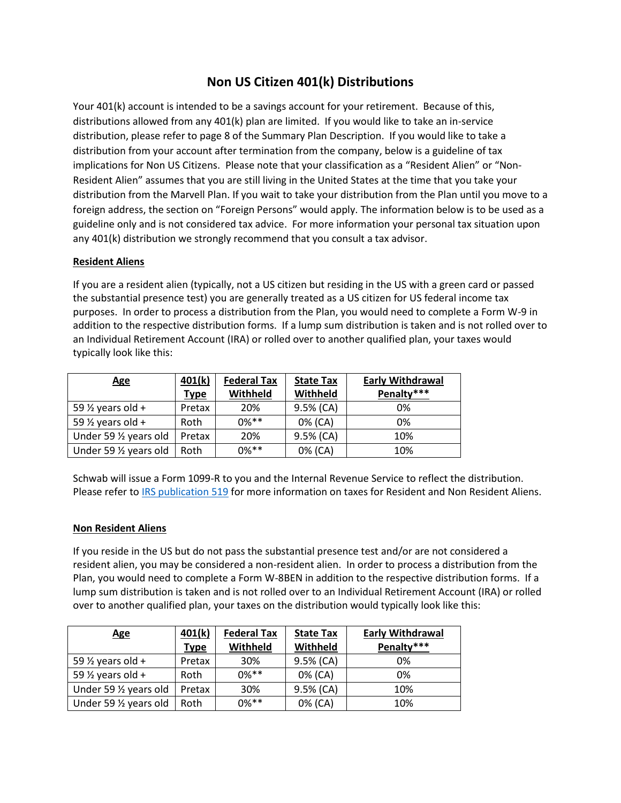## **Non US Citizen 401(k) Distributions**

Your 401(k) account is intended to be a savings account for your retirement. Because of this, distributions allowed from any 401(k) plan are limited. If you would like to take an in-service distribution, please refer to page 8 of the Summary Plan Description. If you would like to take a distribution from your account after termination from the company, below is a guideline of tax implications for Non US Citizens. Please note that your classification as a "Resident Alien" or "Non-Resident Alien" assumes that you are still living in the United States at the time that you take your distribution from the Marvell Plan. If you wait to take your distribution from the Plan until you move to a foreign address, the section on "Foreign Persons" would apply. The information below is to be used as a guideline only and is not considered tax advice. For more information your personal tax situation upon any 401(k) distribution we strongly recommend that you consult a tax advisor.

## **Resident Aliens**

If you are a resident alien (typically, not a US citizen but residing in the US with a green card or passed the substantial presence test) you are generally treated as a US citizen for US federal income tax purposes. In order to process a distribution from the Plan, you would need to complete a Form W-9 in addition to the respective distribution forms. If a lump sum distribution is taken and is not rolled over to an Individual Retirement Account (IRA) or rolled over to another qualified plan, your taxes would typically look like this:

| <b>Age</b>                   | 401(k)      | <b>Federal Tax</b> | <b>State Tax</b> | <b>Early Withdrawal</b> |
|------------------------------|-------------|--------------------|------------------|-------------------------|
|                              | <b>Type</b> | Withheld           | Withheld         | Penalty***              |
| 59 $\frac{1}{2}$ years old + | Pretax      | 20%                | 9.5% (CA)        | 0%                      |
| 59 $\frac{1}{2}$ years old + | Roth        | $0\%**$            | 0% (CA)          | 0%                      |
| Under 59 1/2 years old       | Pretax      | 20%                | 9.5% (CA)        | 10%                     |
| Under 59 1/2 years old       | Roth        | $0\%$ **           | 0% (CA)          | 10%                     |

Schwab will issue a Form 1099-R to you and the Internal Revenue Service to reflect the distribution. Please refer t[o IRS publication 519](https://www.irs.gov/pub/irs-pdf/p519.pdf) for more information on taxes for Resident and Non Resident Aliens.

## **Non Resident Aliens**

If you reside in the US but do not pass the substantial presence test and/or are not considered a resident alien, you may be considered a non-resident alien. In order to process a distribution from the Plan, you would need to complete a Form W-8BEN in addition to the respective distribution forms. If a lump sum distribution is taken and is not rolled over to an Individual Retirement Account (IRA) or rolled over to another qualified plan, your taxes on the distribution would typically look like this:

| <b>Age</b>                   | 401(k)      | <b>Federal Tax</b> | <b>State Tax</b> | <b>Early Withdrawal</b> |
|------------------------------|-------------|--------------------|------------------|-------------------------|
|                              | <b>Type</b> | Withheld           | Withheld         | Penalty***              |
| 59 $\frac{1}{2}$ years old + | Pretax      | 30%                | 9.5% (CA)        | 0%                      |
| 59 $\frac{1}{2}$ years old + | Roth        | $0\%$ **           | 0% (CA)          | 0%                      |
| Under 59 1/2 years old       | Pretax      | 30%                | 9.5% (CA)        | 10%                     |
| Under 59 1/2 years old       | Roth        | $0\%$ **           | 0% (CA)          | 10%                     |